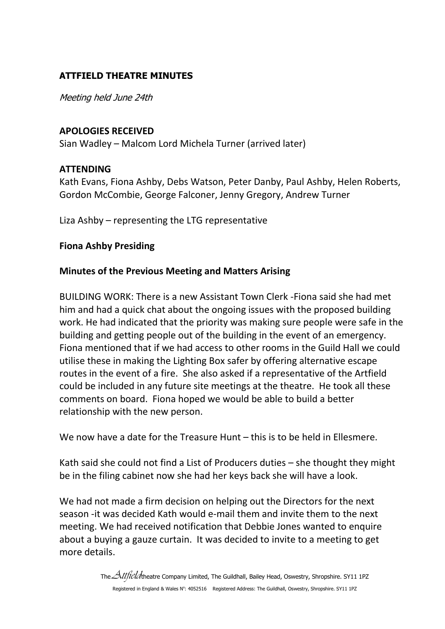# **ATTFIELD THEATRE MINUTES**

Meeting held June 24th

### **APOLOGIES RECEIVED**

Sian Wadley – Malcom Lord Michela Turner (arrived later)

## **ATTENDING**

Kath Evans, Fiona Ashby, Debs Watson, Peter Danby, Paul Ashby, Helen Roberts, Gordon McCombie, George Falconer, Jenny Gregory, Andrew Turner

Liza Ashby – representing the LTG representative

## **Fiona Ashby Presiding**

## **Minutes of the Previous Meeting and Matters Arising**

BUILDING WORK: There is a new Assistant Town Clerk -Fiona said she had met him and had a quick chat about the ongoing issues with the proposed building work. He had indicated that the priority was making sure people were safe in the building and getting people out of the building in the event of an emergency. Fiona mentioned that if we had access to other rooms in the Guild Hall we could utilise these in making the Lighting Box safer by offering alternative escape routes in the event of a fire. She also asked if a representative of the Artfield could be included in any future site meetings at the theatre. He took all these comments on board. Fiona hoped we would be able to build a better relationship with the new person.

We now have a date for the Treasure Hunt – this is to be held in Ellesmere.

Kath said she could not find a List of Producers duties – she thought they might be in the filing cabinet now she had her keys back she will have a look.

We had not made a firm decision on helping out the Directors for the next season -it was decided Kath would e-mail them and invite them to the next meeting. We had received notification that Debbie Jones wanted to enquire about a buying a gauze curtain. It was decided to invite to a meeting to get more details.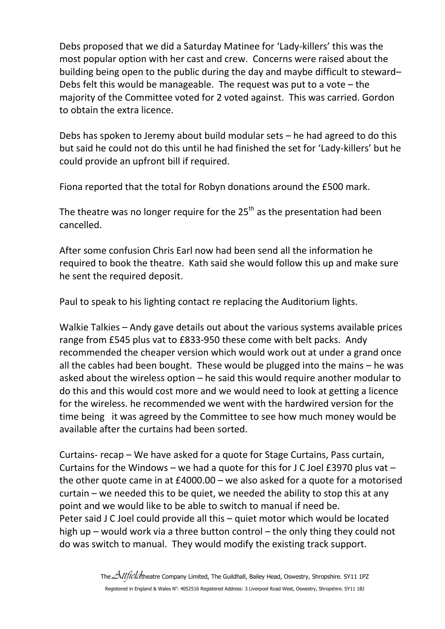Debs proposed that we did a Saturday Matinee for 'Lady-killers' this was the most popular option with her cast and crew. Concerns were raised about the building being open to the public during the day and maybe difficult to steward– Debs felt this would be manageable. The request was put to a vote – the majority of the Committee voted for 2 voted against. This was carried. Gordon to obtain the extra licence.

Debs has spoken to Jeremy about build modular sets – he had agreed to do this but said he could not do this until he had finished the set for 'Lady-killers' but he could provide an upfront bill if required.

Fiona reported that the total for Robyn donations around the £500 mark.

The theatre was no longer require for the  $25<sup>th</sup>$  as the presentation had been cancelled.

After some confusion Chris Earl now had been send all the information he required to book the theatre. Kath said she would follow this up and make sure he sent the required deposit.

Paul to speak to his lighting contact re replacing the Auditorium lights.

Walkie Talkies – Andy gave details out about the various systems available prices range from £545 plus vat to £833-950 these come with belt packs. Andy recommended the cheaper version which would work out at under a grand once all the cables had been bought. These would be plugged into the mains – he was asked about the wireless option – he said this would require another modular to do this and this would cost more and we would need to look at getting a licence for the wireless. he recommended we went with the hardwired version for the time being it was agreed by the Committee to see how much money would be available after the curtains had been sorted.

Curtains- recap – We have asked for a quote for Stage Curtains, Pass curtain, Curtains for the Windows – we had a quote for this for J C Joel £3970 plus vat – the other quote came in at £4000.00 – we also asked for a quote for a motorised curtain – we needed this to be quiet, we needed the ability to stop this at any point and we would like to be able to switch to manual if need be. Peter said J C Joel could provide all this – quiet motor which would be located high up – would work via a three button control – the only thing they could not do was switch to manual. They would modify the existing track support.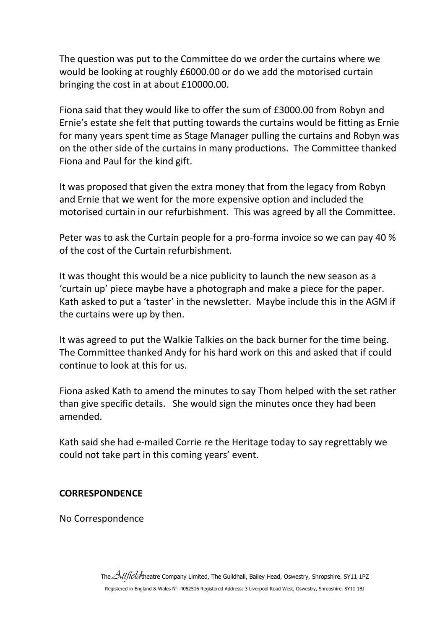The question was put to the Committee do we order the curtains where we would be looking at roughly £6000.00 or do we add the motorised curtain bringing the cost in at about £10000.00.

Fiona said that they would like to offer the sum of £3000.00 from Robyn and Ernie's estate she felt that putting towards the curtains would be fitting as Ernie for many years spent time as Stage Manager pulling the curtains and Robyn was on the other side of the curtains in many productions. The Committee thanked Fiona and Paul for the kind gift.

It was proposed that given the extra money that from the legacy from Robyn and Ernie that we went for the more expensive option and included the motorised curtain in our refurbishment. This was agreed by all the Committee.

Peter was to ask the Curtain people for a pro-forma invoice so we can pay 40 % of the cost of the Curtain refurbishment.

It was thought this would be a nice publicity to launch the new season as a 'curtain up' piece maybe have a photograph and make a piece for the paper. Kath asked to put a 'taster' in the newsletter. Maybe include this in the AGM if the curtains were up by then.

It was agreed to put the Walkie Talkies on the back burner for the time being. The Committee thanked Andy for his hard work on this and asked that if could continue to look at this for us.

Fiona asked Kath to amend the minutes to say Thom helped with the set rather than give specific details. She would sign the minutes once they had been amended.

Kath said she had e-mailed Corrie re the Heritage today to say regrettably we could not take part in this coming years' event.

## **CORRESPONDENCE**

No Correspondence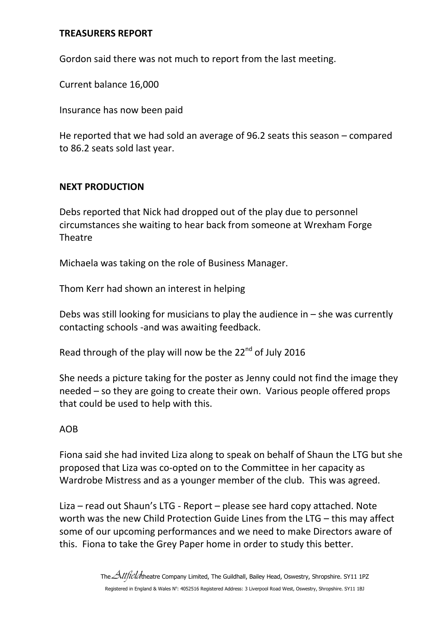### **TREASURERS REPORT**

Gordon said there was not much to report from the last meeting.

Current balance 16,000

Insurance has now been paid

He reported that we had sold an average of 96.2 seats this season – compared to 86.2 seats sold last year.

### **NEXT PRODUCTION**

Debs reported that Nick had dropped out of the play due to personnel circumstances she waiting to hear back from someone at Wrexham Forge **Theatre** 

Michaela was taking on the role of Business Manager.

Thom Kerr had shown an interest in helping

Debs was still looking for musicians to play the audience in  $-$  she was currently contacting schools -and was awaiting feedback.

Read through of the play will now be the  $22<sup>nd</sup>$  of July 2016

She needs a picture taking for the poster as Jenny could not find the image they needed – so they are going to create their own. Various people offered props that could be used to help with this.

#### AOB

Fiona said she had invited Liza along to speak on behalf of Shaun the LTG but she proposed that Liza was co-opted on to the Committee in her capacity as Wardrobe Mistress and as a younger member of the club. This was agreed.

Liza – read out Shaun's LTG - Report – please see hard copy attached. Note worth was the new Child Protection Guide Lines from the LTG – this may affect some of our upcoming performances and we need to make Directors aware of this. Fiona to take the Grey Paper home in order to study this better.